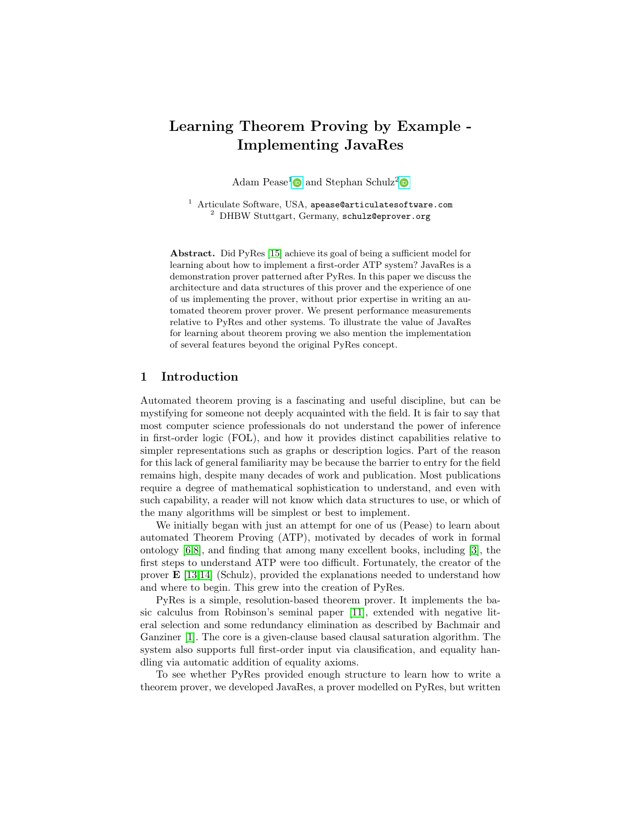# Learning Theorem Proving by Example - Implementing JavaRes

Adam Pease<sup>[1](http://orcid.org/0000-0001-9772-1266)</sup> and Stephan Schulz<sup>[2](http://orcid.org/0000-0001-6262-8555)</sup>

<sup>1</sup> Articulate Software, USA, apease@articulatesoftware.com  $^{2}$  DHBW Stuttgart, Germany, schulz@eprover.org

Abstract. Did PyRes [\[15\]](#page-5-0) achieve its goal of being a sufficient model for learning about how to implement a first-order ATP system? JavaRes is a demonstration prover patterned after PyRes. In this paper we discuss the architecture and data structures of this prover and the experience of one of us implementing the prover, without prior expertise in writing an automated theorem prover prover. We present performance measurements relative to PyRes and other systems. To illustrate the value of JavaRes for learning about theorem proving we also mention the implementation of several features beyond the original PyRes concept.

## 1 Introduction

Automated theorem proving is a fascinating and useful discipline, but can be mystifying for someone not deeply acquainted with the field. It is fair to say that most computer science professionals do not understand the power of inference in first-order logic (FOL), and how it provides distinct capabilities relative to simpler representations such as graphs or description logics. Part of the reason for this lack of general familiarity may be because the barrier to entry for the field remains high, despite many decades of work and publication. Most publications require a degree of mathematical sophistication to understand, and even with such capability, a reader will not know which data structures to use, or which of the many algorithms will be simplest or best to implement.

We initially began with just an attempt for one of us (Pease) to learn about automated Theorem Proving (ATP), motivated by decades of work in formal ontology [\[6,](#page-5-1)[8\]](#page-5-2), and finding that among many excellent books, including [\[3\]](#page-4-0), the first steps to understand ATP were too difficult. Fortunately, the creator of the prover  $\mathbf{E}$  [\[13](#page-5-3)[,14\]](#page-5-4) (Schulz), provided the explanations needed to understand how and where to begin. This grew into the creation of PyRes.

PyRes is a simple, resolution-based theorem prover. It implements the basic calculus from Robinson's seminal paper [\[11\]](#page-5-5), extended with negative literal selection and some redundancy elimination as described by Bachmair and Ganziner [\[1\]](#page-4-1). The core is a given-clause based clausal saturation algorithm. The system also supports full first-order input via clausification, and equality handling via automatic addition of equality axioms.

To see whether PyRes provided enough structure to learn how to write a theorem prover, we developed JavaRes, a prover modelled on PyRes, but written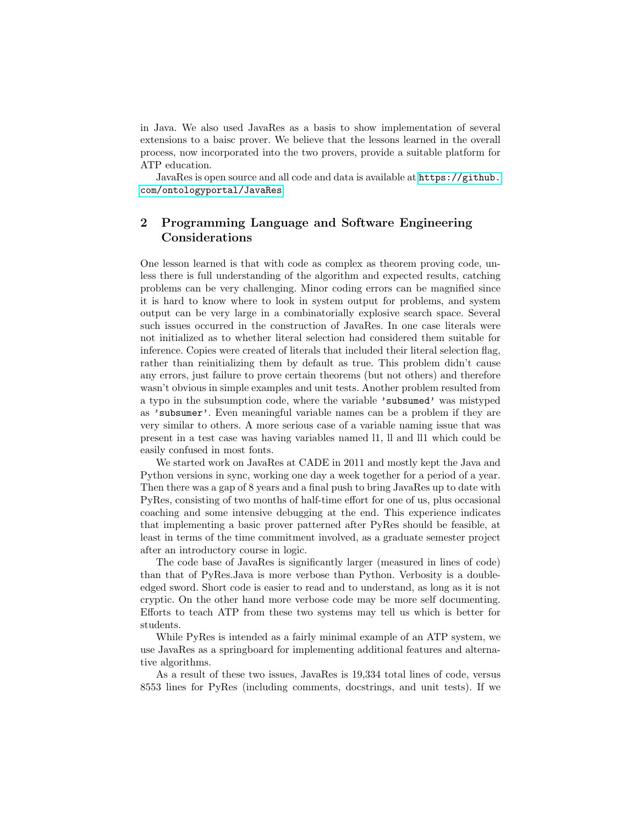in Java. We also used JavaRes as a basis to show implementation of several extensions to a baisc prover. We believe that the lessons learned in the overall process, now incorporated into the two provers, provide a suitable platform for ATP education.

JavaRes is open source and all code and data is available at [https://github.](https://github.com/ontologyportal/JavaRes) [com/ontologyportal/JavaRes](https://github.com/ontologyportal/JavaRes).

# 2 Programming Language and Software Engineering Considerations

One lesson learned is that with code as complex as theorem proving code, unless there is full understanding of the algorithm and expected results, catching problems can be very challenging. Minor coding errors can be magnified since it is hard to know where to look in system output for problems, and system output can be very large in a combinatorially explosive search space. Several such issues occurred in the construction of JavaRes. In one case literals were not initialized as to whether literal selection had considered them suitable for inference. Copies were created of literals that included their literal selection flag, rather than reinitializing them by default as true. This problem didn't cause any errors, just failure to prove certain theorems (but not others) and therefore wasn't obvious in simple examples and unit tests. Another problem resulted from a typo in the subsumption code, where the variable 'subsumed' was mistyped as 'subsumer'. Even meaningful variable names can be a problem if they are very similar to others. A more serious case of a variable naming issue that was present in a test case was having variables named l1, ll and ll1 which could be easily confused in most fonts.

We started work on JavaRes at CADE in 2011 and mostly kept the Java and Python versions in sync, working one day a week together for a period of a year. Then there was a gap of 8 years and a final push to bring JavaRes up to date with PyRes, consisting of two months of half-time effort for one of us, plus occasional coaching and some intensive debugging at the end. This experience indicates that implementing a basic prover patterned after PyRes should be feasible, at least in terms of the time commitment involved, as a graduate semester project after an introductory course in logic.

The code base of JavaRes is significantly larger (measured in lines of code) than that of PyRes.Java is more verbose than Python. Verbosity is a doubleedged sword. Short code is easier to read and to understand, as long as it is not cryptic. On the other hand more verbose code may be more self documenting. Efforts to teach ATP from these two systems may tell us which is better for students.

While PyRes is intended as a fairly minimal example of an ATP system, we use JavaRes as a springboard for implementing additional features and alternative algorithms.

As a result of these two issues, JavaRes is 19,334 total lines of code, versus 8553 lines for PyRes (including comments, docstrings, and unit tests). If we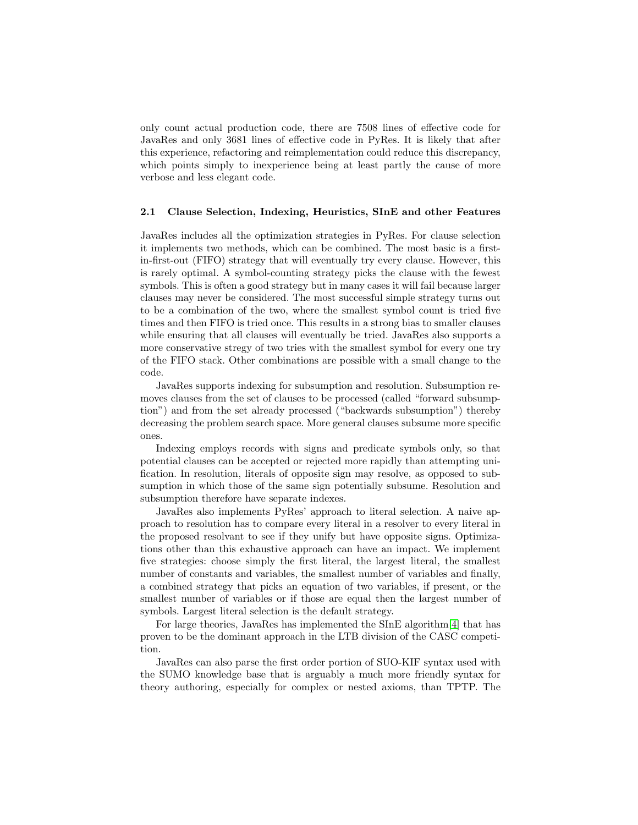only count actual production code, there are 7508 lines of effective code for JavaRes and only 3681 lines of effective code in PyRes. It is likely that after this experience, refactoring and reimplementation could reduce this discrepancy, which points simply to inexperience being at least partly the cause of more verbose and less elegant code.

#### 2.1 Clause Selection, Indexing, Heuristics, SInE and other Features

JavaRes includes all the optimization strategies in PyRes. For clause selection it implements two methods, which can be combined. The most basic is a firstin-first-out (FIFO) strategy that will eventually try every clause. However, this is rarely optimal. A symbol-counting strategy picks the clause with the fewest symbols. This is often a good strategy but in many cases it will fail because larger clauses may never be considered. The most successful simple strategy turns out to be a combination of the two, where the smallest symbol count is tried five times and then FIFO is tried once. This results in a strong bias to smaller clauses while ensuring that all clauses will eventually be tried. JavaRes also supports a more conservative stregy of two tries with the smallest symbol for every one try of the FIFO stack. Other combinations are possible with a small change to the code.

JavaRes supports indexing for subsumption and resolution. Subsumption removes clauses from the set of clauses to be processed (called "forward subsumption") and from the set already processed ("backwards subsumption") thereby decreasing the problem search space. More general clauses subsume more specific ones.

Indexing employs records with signs and predicate symbols only, so that potential clauses can be accepted or rejected more rapidly than attempting unification. In resolution, literals of opposite sign may resolve, as opposed to subsumption in which those of the same sign potentially subsume. Resolution and subsumption therefore have separate indexes.

JavaRes also implements PyRes' approach to literal selection. A naive approach to resolution has to compare every literal in a resolver to every literal in the proposed resolvant to see if they unify but have opposite signs. Optimizations other than this exhaustive approach can have an impact. We implement five strategies: choose simply the first literal, the largest literal, the smallest number of constants and variables, the smallest number of variables and finally, a combined strategy that picks an equation of two variables, if present, or the smallest number of variables or if those are equal then the largest number of symbols. Largest literal selection is the default strategy.

For large theories, JavaRes has implemented the SInE algorithm[\[4\]](#page-5-6) that has proven to be the dominant approach in the LTB division of the CASC competition.

JavaRes can also parse the first order portion of SUO-KIF syntax used with the SUMO knowledge base that is arguably a much more friendly syntax for theory authoring, especially for complex or nested axioms, than TPTP. The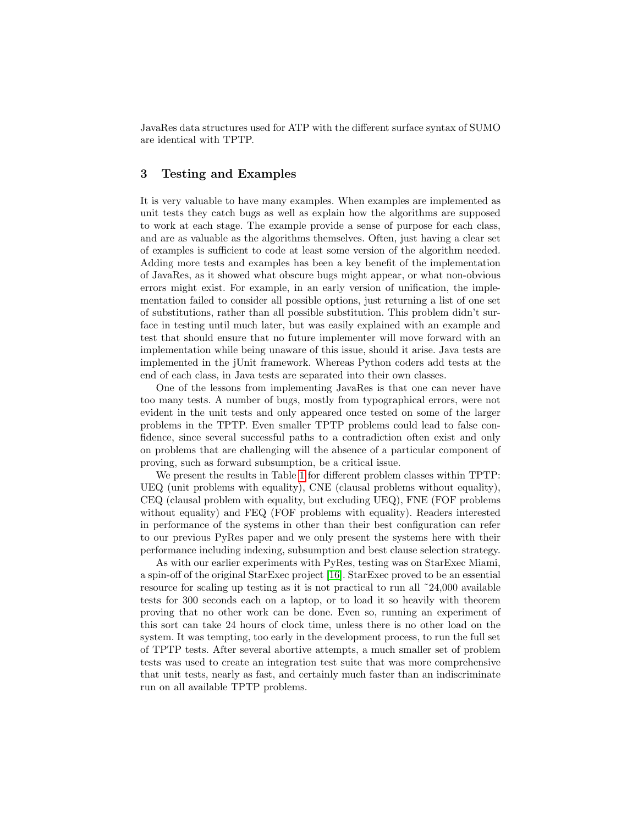JavaRes data structures used for ATP with the different surface syntax of SUMO are identical with TPTP.

# 3 Testing and Examples

It is very valuable to have many examples. When examples are implemented as unit tests they catch bugs as well as explain how the algorithms are supposed to work at each stage. The example provide a sense of purpose for each class, and are as valuable as the algorithms themselves. Often, just having a clear set of examples is sufficient to code at least some version of the algorithm needed. Adding more tests and examples has been a key benefit of the implementation of JavaRes, as it showed what obscure bugs might appear, or what non-obvious errors might exist. For example, in an early version of unification, the implementation failed to consider all possible options, just returning a list of one set of substitutions, rather than all possible substitution. This problem didn't surface in testing until much later, but was easily explained with an example and test that should ensure that no future implementer will move forward with an implementation while being unaware of this issue, should it arise. Java tests are implemented in the jUnit framework. Whereas Python coders add tests at the end of each class, in Java tests are separated into their own classes.

One of the lessons from implementing JavaRes is that one can never have too many tests. A number of bugs, mostly from typographical errors, were not evident in the unit tests and only appeared once tested on some of the larger problems in the TPTP. Even smaller TPTP problems could lead to false confidence, since several successful paths to a contradiction often exist and only on problems that are challenging will the absence of a particular component of proving, such as forward subsumption, be a critical issue.

We present the results in Table [1](#page-4-2) for different problem classes within TPTP: UEQ (unit problems with equality), CNE (clausal problems without equality), CEQ (clausal problem with equality, but excluding UEQ), FNE (FOF problems without equality) and FEQ (FOF problems with equality). Readers interested in performance of the systems in other than their best configuration can refer to our previous PyRes paper and we only present the systems here with their performance including indexing, subsumption and best clause selection strategy.

As with our earlier experiments with PyRes, testing was on StarExec Miami, a spin-off of the original StarExec project [\[16\]](#page-5-7). StarExec proved to be an essential resource for scaling up testing as it is not practical to run all ~24,000 available tests for 300 seconds each on a laptop, or to load it so heavily with theorem proving that no other work can be done. Even so, running an experiment of this sort can take 24 hours of clock time, unless there is no other load on the system. It was tempting, too early in the development process, to run the full set of TPTP tests. After several abortive attempts, a much smaller set of problem tests was used to create an integration test suite that was more comprehensive that unit tests, nearly as fast, and certainly much faster than an indiscriminate run on all available TPTP problems.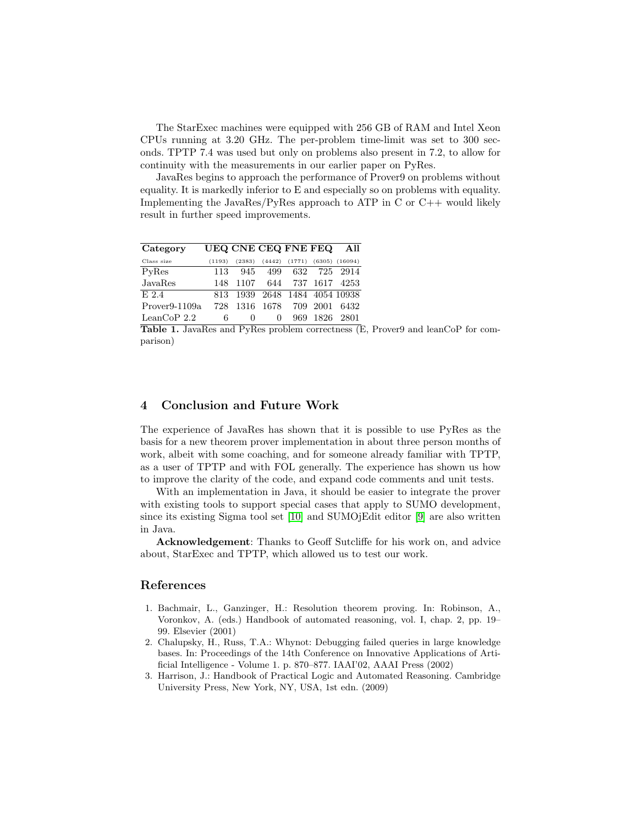The StarExec machines were equipped with 256 GB of RAM and Intel Xeon CPUs running at 3.20 GHz. The per-problem time-limit was set to 300 seconds. TPTP 7.4 was used but only on problems also present in 7.2, to allow for continuity with the measurements in our earlier paper on PyRes.

JavaRes begins to approach the performance of Prover9 on problems without equality. It is markedly inferior to E and especially so on problems with equality. Implementing the JavaRes/PyRes approach to ATP in C or  $C_{++}$  would likely result in further speed improvements.

| Category                   |        | UEQ CNE CEQ FNE FEQ |                           |        |      | All                |
|----------------------------|--------|---------------------|---------------------------|--------|------|--------------------|
| Class size                 | (1193) | (2383)              | (4442)                    | (1771) |      | $(6305)$ $(16094)$ |
| PyRes                      | 113    | 945                 | 499                       | 632    | 725  | 2914               |
| JavaRes                    | 148    | 1107                | 644                       |        |      | 737 1617 4253      |
| E.2.4                      | 813    |                     | 1939 2648 1484 4054 10938 |        |      |                    |
| Prover <sub>9</sub> -1109a | 728    | 1316                | 1678                      | 709    | 2001 | 6432               |
| LeanCoP 2.2                | 6      | $\mathbf{0}$        | $\mathbf{0}$              | 969    | 1826 | 2801               |

<span id="page-4-2"></span>Table 1. JavaRes and PyRes problem correctness (E, Prover9 and leanCoP for comparison)

### 4 Conclusion and Future Work

The experience of JavaRes has shown that it is possible to use PyRes as the basis for a new theorem prover implementation in about three person months of work, albeit with some coaching, and for someone already familiar with TPTP, as a user of TPTP and with FOL generally. The experience has shown us how to improve the clarity of the code, and expand code comments and unit tests.

With an implementation in Java, it should be easier to integrate the prover with existing tools to support special cases that apply to SUMO development, since its existing Sigma tool set [\[10\]](#page-5-8) and SUMOjEdit editor [\[9\]](#page-5-9) are also written in Java.

Acknowledgement: Thanks to Geoff Sutcliffe for his work on, and advice about, StarExec and TPTP, which allowed us to test our work.

## References

- <span id="page-4-1"></span>1. Bachmair, L., Ganzinger, H.: Resolution theorem proving. In: Robinson, A., Voronkov, A. (eds.) Handbook of automated reasoning, vol. I, chap. 2, pp. 19– 99. Elsevier (2001)
- 2. Chalupsky, H., Russ, T.A.: Whynot: Debugging failed queries in large knowledge bases. In: Proceedings of the 14th Conference on Innovative Applications of Artificial Intelligence - Volume 1. p. 870–877. IAAI'02, AAAI Press (2002)
- <span id="page-4-0"></span>3. Harrison, J.: Handbook of Practical Logic and Automated Reasoning. Cambridge University Press, New York, NY, USA, 1st edn. (2009)